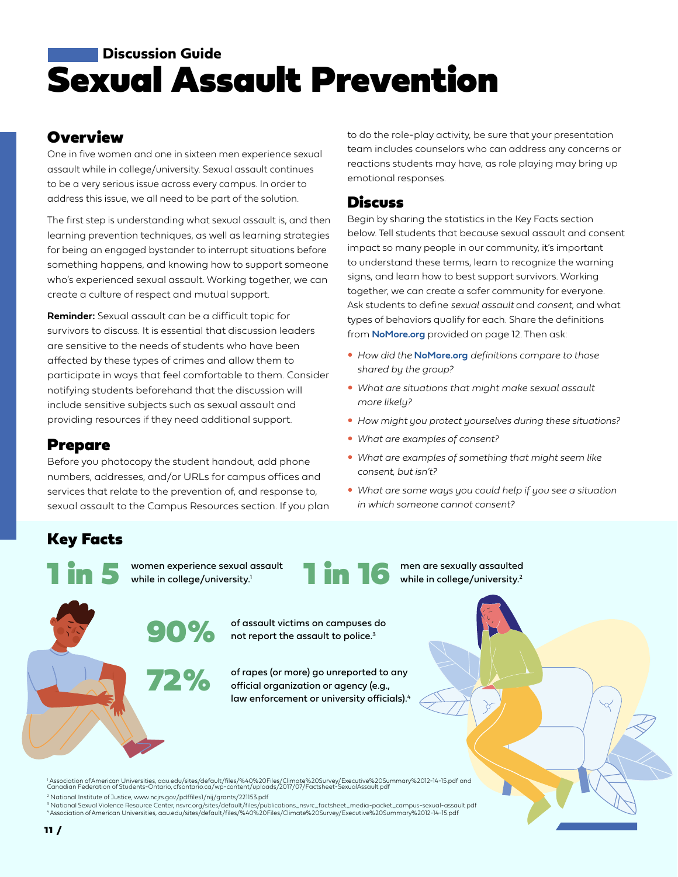# Sexual Assault Prevention **Discussion Guide**

## **Overview**

One in five women and one in sixteen men experience sexual assault while in college/university. Sexual assault continues to be a very serious issue across every campus. In order to address this issue, we all need to be part of the solution.

The first step is understanding what sexual assault is, and then learning prevention techniques, as well as learning strategies for being an engaged bystander to interrupt situations before something happens, and knowing how to support someone who's experienced sexual assault. Working together, we can create a culture of respect and mutual support.

**Reminder:** Sexual assault can be a difficult topic for survivors to discuss. It is essential that discussion leaders are sensitive to the needs of students who have been affected by these types of crimes and allow them to participate in ways that feel comfortable to them. Consider notifying students beforehand that the discussion will include sensitive subjects such as sexual assault and providing resources if they need additional support.

## Prepare

Before you photocopy the student handout, add phone numbers, addresses, and/or URLs for campus offices and services that relate to the prevention of, and response to, sexual assault to the Campus Resources section. If you plan to do the role-play activity, be sure that your presentation team includes counselors who can address any concerns or reactions students may have, as role playing may bring up emotional responses.

### **Discuss**

Begin by sharing the statistics in the Key Facts section below. Tell students that because sexual assault and consent impact so many people in our community, it's important to understand these terms, learn to recognize the warning signs, and learn how to best support survivors. Working together, we can create a safer community for everyone. Ask students to define *sexual assault* and *consent*, and what types of behaviors qualify for each. Share the definitions from **[NoMore.org](https://nomore.org)** provided on page 12. Then ask:

- **How did the [NoMore.org](https://nomore.org)** definitions compare to those *shared by the group?*
- y *What are situations that might make sexual assault more likely?*
- **How might you protect yourselves during these situations?**
- y *What are examples of consent?*
- What are examples of something that might seem like *consent, but isn't?*
- What are some ways you could help if you see a situation *in which someone cannot consent?*

# Key Facts

1 in 5

women experience sexual assault while in college/university.<sup>1</sup>

72%



men are sexually assaulted while in college/university.<sup>2</sup>

90% of assault victims on campuses do not report the assault to police.<sup>3</sup>

> of rapes (or more) go unreported to any official organization or agency (e.g., law enforcement or university officials).<sup>4</sup>

<sup>1</sup> Association of American Universities, [aau.edu/sites/default/files/%40%20Files/Climate%20Survey/Executive%20Summary%2012-14-15.pdf](https://www.aau.edu/sites/default/files/@%20Files/Climate%20Survey/Executive%20Summary%2012-14-15.pdf) and<br>Canadian Federation of Students-Ontario, cfsontario.ca/wp-content/uploads/2017/07/Fa

2 National Institute of Justice, www.[ncjrs.gov/pdffiles1/nij/grants/221153.pdf](https://www.ncjrs.gov/pdffiles1/nij/grants/221153.pdf) 3 National Sexual Violence Resource Center, [nsvrc.org/sites/default/files/publications\\_nsvrc\\_factsheet\\_media-packet\\_campus-sexual-assault.pdf](http://nsvrc.org/sites/default/files/publications_nsvrc_factsheet_media-packet_campus-sexual-assault.pdf) <sup>4</sup>Association of American Universities[, aau.edu/sites/default/files/%40%20Files/Climate%20Survey/Executive%20Summary%2012-14-15.pdf](https://www.aau.edu/sites/default/files/@%20Files/Climate%20Survey/Executive%20Summary%2012-14-15.pdf)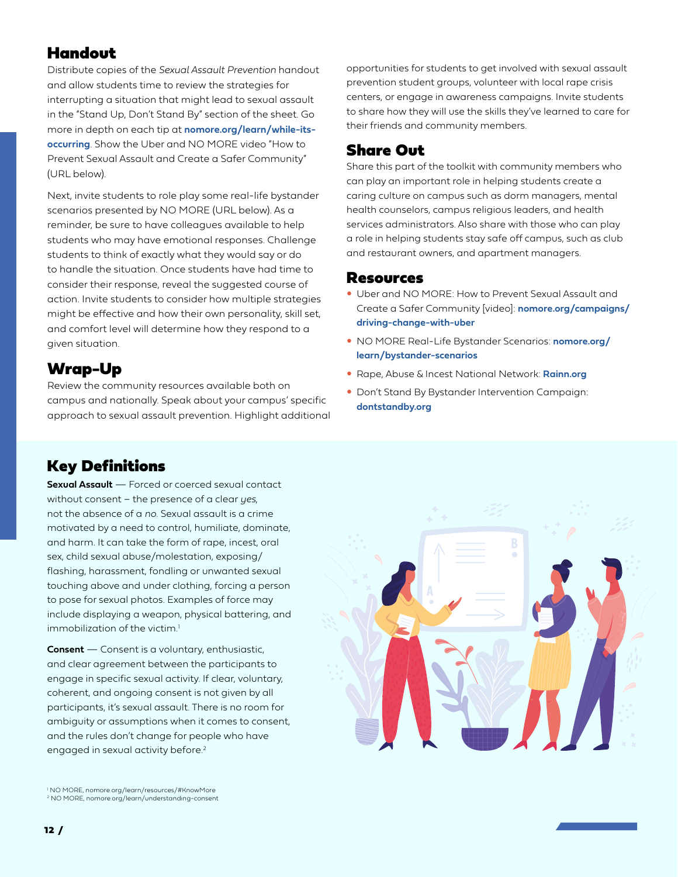## Handout

Distribute copies of the *Sexual Assault Prevention* handout and allow students time to review the strategies for interrupting a situation that might lead to sexual assault in the "Stand Up, Don't Stand By" section of the sheet. Go more in depth on each tip at **[nomore.org/learn/while-its](https://nomore.org/learn/while-its-occurring/)[occurring](https://nomore.org/learn/while-its-occurring/)**. Show the Uber and NO MORE video "How to Prevent Sexual Assault and Create a Safer Community" (URL below).

Next, invite students to role play some real-life bystander scenarios presented by NO MORE (URL below). As a reminder, be sure to have colleagues available to help students who may have emotional responses. Challenge students to think of exactly what they would say or do to handle the situation. Once students have had time to consider their response, reveal the suggested course of action. Invite students to consider how multiple strategies might be effective and how their own personality, skill set, and comfort level will determine how they respond to a given situation.

# Wrap-Up

Review the community resources available both on campus and nationally. Speak about your campus' specific approach to sexual assault prevention. Highlight additional

## Key Definitions

**Sexual Assault** — Forced or coerced sexual contact without consent – the presence of a clear *yes*, not the absence of a *no*. Sexual assault is a crime motivated by a need to control, humiliate, dominate, and harm. It can take the form of rape, incest, oral sex, child sexual abuse/molestation, exposing/ flashing, harassment, fondling or unwanted sexual touching above and under clothing, forcing a person to pose for sexual photos. Examples of force may include displaying a weapon, physical battering, and immobilization of the victim.<sup>1</sup>

**Consent** — Consent is a voluntary, enthusiastic, and clear agreement between the participants to engage in specific sexual activity. If clear, voluntary, coherent, and ongoing consent is not given by all participants, it's sexual assault. There is no room for ambiguity or assumptions when it comes to consent, and the rules don't change for people who have engaged in sexual activity before.<sup>2</sup>

1 NO MORE, [nomore.org/learn/resources/#KnowMore](https://nomore.org/learn/resources/#KnowMore) <sup>2</sup> NO MORE, [nomore.org/learn/understanding-consent](https://nomore.org/learn/understanding-consent/)

opportunities for students to get involved with sexual assault prevention student groups, volunteer with local rape crisis centers, or engage in awareness campaigns. Invite students to share how they will use the skills they've learned to care for their friends and community members.

## Share Out

Share this part of the toolkit with community members who can play an important role in helping students create a caring culture on campus such as dorm managers, mental health counselors, campus religious leaders, and health services administrators. Also share with those who can play a role in helping students stay safe off campus, such as club and restaurant owners, and apartment managers.

#### Resources

- y Uber and NO MORE: How to Prevent Sexual Assault and Create a Safer Community [video]: **[nomore.org/campaigns/](https://nomore.org/campaigns/driving-change-with-uber/) [driving-change-with-uber](https://nomore.org/campaigns/driving-change-with-uber/)**
- y NO MORE Real-Life Bystander Scenarios: **[nomore.org/](https://nomore.org/learn/bystander-scenarios/) [learn/bystander-scenarios](https://nomore.org/learn/bystander-scenarios/)**
- y Rape, Abuse & Incest National Network: **[Rainn.org](https://www.rainn.org)**
- Don't Stand By Bystander Intervention Campaign: **[dontstandby.org](https://www.dontstandby.org)**

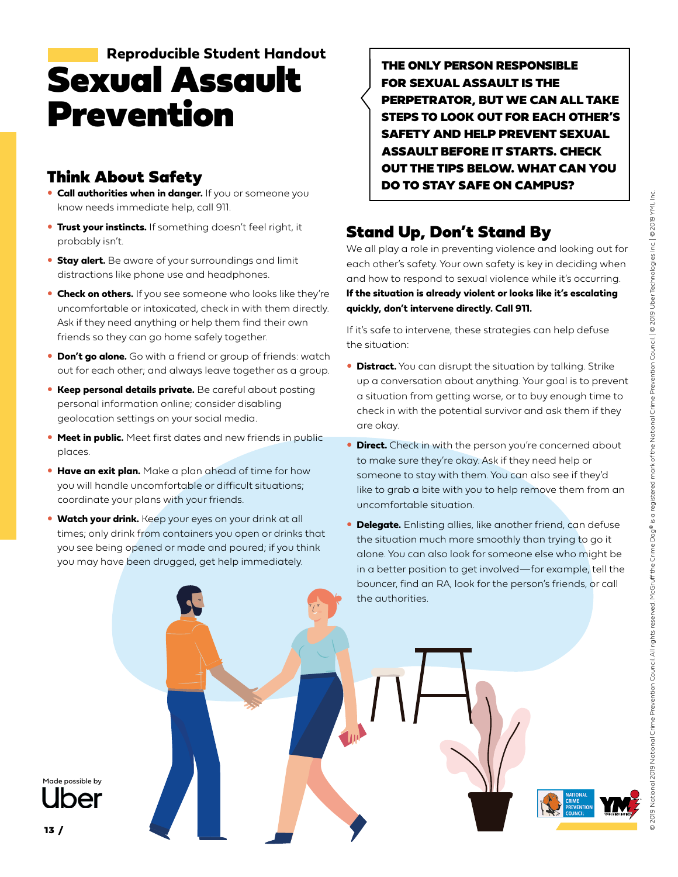# Sexual Assault Prevention  **Reproducible Student Handout**

# Think About Safety

- **Call authorities when in danger.** If you or someone you know needs immediate help, call 911.
- **Trust your instincts.** If something doesn't feel right, it probably isn't.
- **Stay alert.** Be aware of your surroundings and limit distractions like phone use and headphones.
- **Check on others.** If you see someone who looks like they're uncomfortable or intoxicated, check in with them directly. Ask if they need anything or help them find their own friends so they can go home safely together.
- **Don't go alone.** Go with a friend or group of friends: watch out for each other; and always leave together as a group.
- **Keep personal details private.** Be careful about posting personal information online; consider disabling geolocation settings on your social media.
- **Meet in public.** Meet first dates and new friends in public places.
- **Have an exit plan.** Make a plan ahead of time for how you will handle uncomfortable or difficult situations; coordinate your plans with your friends.
- **Watch your drink.** Keep your eyes on your drink at all times; only drink from containers you open or drinks that you see being opened or made and poured; if you think you may have been drugged, get help immediately.

THE ONLY PERSON RESPONSIBLE FOR SEXUAL ASSAULT IS THE PERPETRATOR, BUT WE CAN ALL TAKE STEPS TO LOOK OUT FOR EACH OTHER'S SAFETY AND HELP PREVENT SEXUAL ASSAULT BEFORE IT STARTS. CHECK OUT THE TIPS BELOW. WHAT CAN YOU DO TO STAY SAFE ON CAMPUS?

# Stand Up, Don't Stand By

We all play a role in preventing violence and looking out for each other's safety. Your own safety is key in deciding when and how to respond to sexual violence while it's occurring. **If the situation is already violent or looks like it's escalating quickly, don't intervene directly. Call 911.**

If it's safe to intervene, these strategies can help defuse the situation:

- **Distract.** You can disrupt the situation by talking. Strike up a conversation about anything. Your goal is to prevent a situation from getting worse, or to buy enough time to check in with the potential survivor and ask them if they are okay.
- **Direct.** Check in with the person you're concerned about to make sure they're okay. Ask if they need help or someone to stay with them. You can also see if they'd like to grab a bite with you to help remove them from an uncomfortable situation.
- **Delegate.** Enlisting allies, like another friend, can defuse the situation much more smoothly than trying to go it alone. You can also look for someone else who might be in a better position to get involved—for example, tell the bouncer, find an RA, look for the person's friends, or call the authorities.

Made possible by